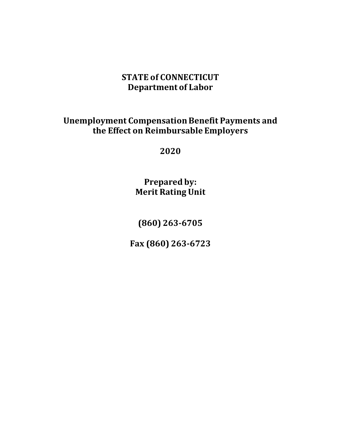# **STATE of CONNECTICUT Department of Labor**

# **Unemployment Compensation Benefit Payments and the Effect on Reimbursable Employers**

**2020**

**Prepared by: Merit Rating Unit**

**(860) 263-6705**

**Fax (860) 263-6723**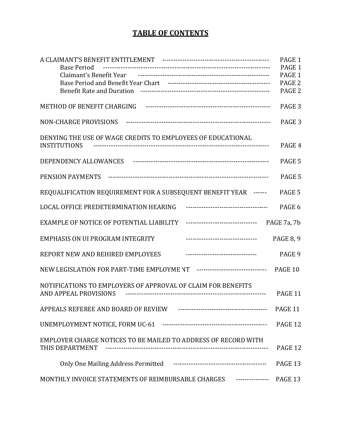# **TABLE OF CONTENTS**

|                                                                                    | PAGE 1            |
|------------------------------------------------------------------------------------|-------------------|
| <b>Base Period</b>                                                                 | PAGE 1            |
|                                                                                    | PAGE 1            |
|                                                                                    | PAGE <sub>2</sub> |
|                                                                                    | PAGE <sub>2</sub> |
| METHOD OF BENEFIT CHARGING FILLIONS ACCOMMODATIONS AND METHOD OF BENEFIT CHARGING  | PAGE <sub>3</sub> |
| <b>NON-CHARGE PROVISIONS</b>                                                       | PAGE <sub>3</sub> |
| DENYING THE USE OF WAGE CREDITS TO EMPLOYEES OF EDUCATIONAL<br><b>INSTITUTIONS</b> | PAGE 4            |
|                                                                                    | PAGE 5            |
| PENSION PAYMENTS                                                                   | PAGE 5            |
| REQUALIFICATION REQUIREMENT FOR A SUBSEQUENT BENEFIT YEAR ------                   | PAGE 5            |
| LOCAL OFFICE PREDETERMINATION HEARING<br>------------------------------------      | PAGE 6            |
| EXAMPLE OF NOTICE OF POTENTIAL LIABILITY<br>--------------------------------       | PAGE 7a, 7b       |
| <b>EMPHASIS ON UI PROGRAM INTEGRITY</b><br>---------------------------------       | <b>PAGE 8, 9</b>  |
| REPORT NEW AND REHIRED EMPLOYEES<br>---------------------------------              | PAGE 9            |
| NEW LEGISLATION FOR PART-TIME EMPLOYME NT ------------------------------- PAGE 10  |                   |
| NOTIFICATIONS TO EMPLOYERS OF APPROVAL OF CLAIM FOR BENEFITS                       |                   |
| AND APPEAL PROVISIONS                                                              | PAGE 11           |
|                                                                                    | PAGE 11           |
|                                                                                    | PAGE 12           |
| EMPLOYER CHARGE NOTICES TO BE MAILED TO ADDRESS OF RECORD WITH<br>THIS DEPARTMENT  | PAGE 12           |
|                                                                                    |                   |
|                                                                                    | PAGE 13           |
| MONTHLY INVOICE STATEMENTS OF REIMBURSABLE CHARGES ---------------- PAGE 13        |                   |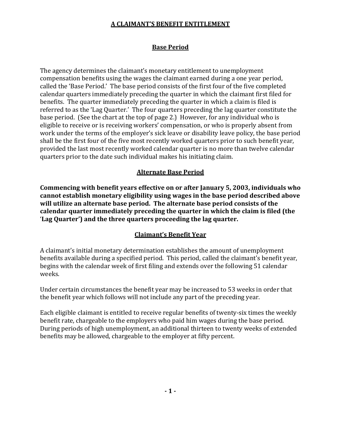#### **A CLAIMANT'S BENEFIT ENTITLEMENT**

# **Base Period**

The agency determines the claimant's monetary entitlement to unemployment compensation benefits using the wages the claimant earned during a one year period, called the 'Base Period.' The base period consists of the first four of the five completed calendar quarters immediately preceding the quarter in which the claimant first filed for benefits. The quarter immediately preceding the quarter in which a claim is filed is referred to as the 'Lag Quarter.' The four quarters preceding the lag quarter constitute the base period. (See the chart at the top of page 2.) However, for any individual who is eligible to receive or is receiving workers' compensation, or who is properly absent from work under the terms of the employer's sick leave or disability leave policy, the base period shall be the first four of the five most recently worked quarters prior to such benefit year, provided the last most recently worked calendar quarter is no more than twelve calendar quarters prior to the date such individual makes his initiating claim.

# **Alternate Base Period**

**Commencing with benefit years effective on or after January 5, 2003, individuals who cannot establish monetary eligibility using wages in the base period described above will utilize an alternate base period. The alternate base period consists of the calendar quarter immediately preceding the quarter in which the claim is filed (the** '**Lag Quarter') and the three quarters proceeding the lag quarter.**

# **Claimant's Benefit Year**

A claimant's initial monetary determination establishes the amount of unemployment benefits available during a specified period. This period, called the claimant's benefit year, begins with the calendar week of first filing and extends over the following 51 calendar weeks.

Under certain circumstances the benefit year may be increased to 53 weeks in order that the benefit year which follows will not include any part of the preceding year.

Each eligible claimant is entitled to receive regular benefits of twenty-six times the weekly benefit rate, chargeable to the employers who paid him wages during the base period. During periods of high unemployment, an additional thirteen to twenty weeks of extended benefits may be allowed, chargeable to the employer at fifty percent.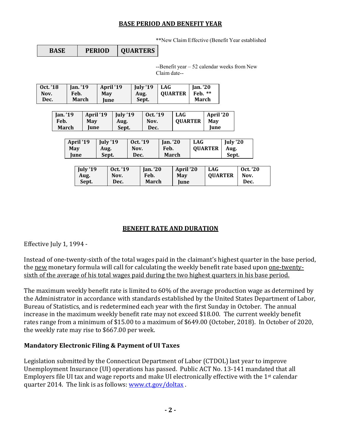#### **BASE PERIOD AND BENEFIT YEAR**

\*\*New Claim Effective (Benefit Year established

--Benefit year – 52 calendar weeks from New Claim date--

| Oct. '18 | <b>Ian.</b> '19 | April '19   | July '19 | <b>LAG</b>     | <b>Ian.</b> '20 |
|----------|-----------------|-------------|----------|----------------|-----------------|
| Nov.     | Feb.            | May         | Aug.     | <b>OUARTER</b> | **<br>Feb.      |
| Dec.     | March           | <b>Iune</b> | Sept.    |                | March           |

| <b>Ian.</b> '19 | April '19 | Iuly '19 | Oct. '19 | <b>LAG</b>     | April '20   |
|-----------------|-----------|----------|----------|----------------|-------------|
| Feb.            | May       | Aug.     | Nov.     | <b>OUARTER</b> | May         |
| March           | lune      | Sept.    | Dec.     |                | <b>Iune</b> |

| April '19 | July '19 | Oct. '19 | <b>Ian.</b> '20 | <b>LAG</b>     | July '20 |
|-----------|----------|----------|-----------------|----------------|----------|
| May       | Aug.     | Nov.     | Feb.            | <b>OUARTER</b> | Aug.     |
| Iune      | Sept.    | Dec.     | March           |                | Sept.    |

| July '19 | Oct. '19 | Jan. $20$ | April '20 | <b>LAG</b>     | Oct. '20 |
|----------|----------|-----------|-----------|----------------|----------|
| Aug.     | Nov.     | Feb.      | May       | <b>OUARTER</b> | Nov.     |
| Sept.    | Dec.     | March     | Iune      |                | Dec.     |

# **BENEFIT RATE AND DURATION**

Effective July 1, 1994 -

Instead of one-twenty-sixth of the total wages paid in the claimant's highest quarter in the base period, the new monetary formula will call for calculating the weekly benefit rate based upon one-twentysixth of the average of his total wages paid during the two highest quarters in his base period.

The maximum weekly benefit rate is limited to 60% of the average production wage as determined by the Administrator in accordance with standards established by the United States Department of Labor, Bureau of Statistics, and is redetermined each year with the first Sunday in October. The annual increase in the maximum weekly benefit rate may not exceed \$18.00. The current weekly benefit rates range from a minimum of \$15.00 to a maximum of \$649.00 (October, 2018). In October of 2020, the weekly rate may rise to \$667.00 per week.

# **Mandatory Electronic Filing & Payment of UI Taxes**

Legislation submitted by the Connecticut Department of Labor (CTDOL) last year to improve Unemployment Insurance (UI) operations has passed. Public ACT No. 13-141 mandated that all Employers file UI tax and wage reports and make UI electronically effective with the 1st calendar quarter 2014. The link is as follows: [www.ct.gov/doltax](http://www.ct.gov/doltax) .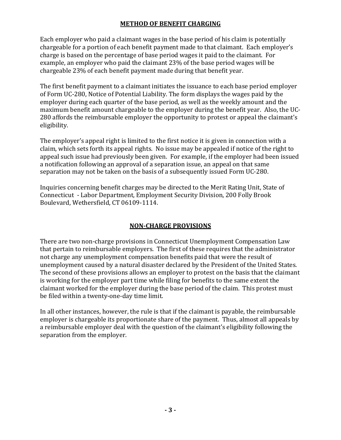#### **METHOD OF BENEFIT CHARGING**

Each employer who paid a claimant wages in the base period of his claim is potentially chargeable for a portion of each benefit payment made to that claimant. Each employer's charge is based on the percentage of base period wages it paid to the claimant. For example, an employer who paid the claimant 23% of the base period wages will be chargeable 23% of each benefit payment made during that benefit year.

The first benefit payment to a claimant initiates the issuance to each base period employer of Form UC-280, Notice of Potential Liability. The form displays the wages paid by the employer during each quarter of the base period, as well as the weekly amount and the maximum benefit amount chargeable to the employer during the benefit year. Also, the UC-280 affords the reimbursable employer the opportunity to protest or appeal the claimant's eligibility.

The employer's appeal right is limited to the first notice it is given in connection with a claim, which sets forth its appeal rights. No issue may be appealed if notice of the right to appeal such issue had previously been given. For example, if the employer had been issued a notification following an approval of a separation issue, an appeal on that same separation may not be taken on the basis of a subsequently issued Form UC-280.

Inquiries concerning benefit charges may be directed to the Merit Rating Unit, State of Connecticut - Labor Department, Employment Security Division, 200 Folly Brook Boulevard, Wethersfield, CT 06109-1114.

# **NON-CHARGE PROVISIONS**

There are two non-charge provisions in Connecticut Unemployment Compensation Law that pertain to reimbursable employers. The first of these requires that the administrator not charge any unemployment compensation benefits paid that were the result of unemployment caused by a natural disaster declared by the President of the United States. The second of these provisions allows an employer to protest on the basis that the claimant is working for the employer part time while filing for benefits to the same extent the claimant worked for the employer during the base period of the claim. This protest must be filed within a twenty-one-day time limit.

In all other instances, however, the rule is that if the claimant is payable, the reimbursable employer is chargeable its proportionate share of the payment. Thus, almost all appeals by a reimbursable employer deal with the question of the claimant's eligibility following the separation from the employer.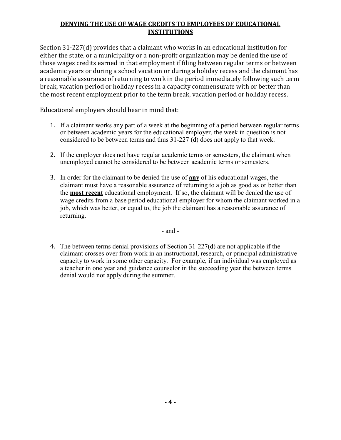# **DENYING THE USE OF WAGE CREDITS TO EMPLOYEES OF EDUCATIONAL INSTITUTIONS**

Section 31-227(d) provides that a claimant who works in an educational institution for either the state, or a municipality or a non-profit organization may be denied the use of those wages credits earned in that employment if filing between regular terms or between academic years or during a school vacation or during a holiday recess and the claimant has a reasonable assurance of returning to work in the period immediately following such term break, vacation period or holiday recess in a capacity commensurate with or better than the most recent employment prior to the term break, vacation period or holiday recess.

Educational employers should bear in mind that:

- 1. If a claimant works any part of a week at the beginning of a period between regular terms or between academic years for the educational employer, the week in question is not considered to be between terms and thus 31-227 (d) does not apply to that week.
- 2. If the employer does not have regular academic terms or semesters, the claimant when unemployed cannot be considered to be between academic terms or semesters.
- 3. In order for the claimant to be denied the use of **any** of his educational wages, the claimant must have a reasonable assurance of returning to a job as good as or better than the **most recent** educational employment. If so, the claimant will be denied the use of wage credits from a base period educational employer for whom the claimant worked in a job, which was better, or equal to, the job the claimant has a reasonable assurance of returning.

- and -

4. The between terms denial provisions of Section 31-227(d) are not applicable if the claimant crosses over from work in an instructional, research, or principal administrative capacity to work in some other capacity. For example, if an individual was employed as a teacher in one year and guidance counselor in the succeeding year the between terms denial would not apply during the summer.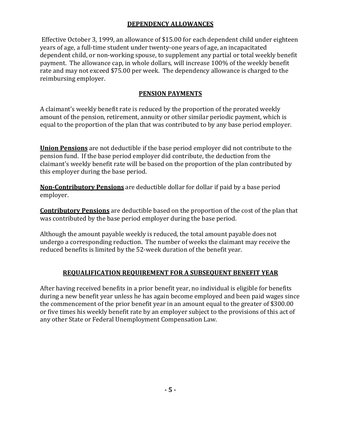# **DEPENDENCY ALLOWANCES**

Effective October 3, 1999, an allowance of \$15.00 for each dependent child under eighteen years of age, a full-time student under twenty-one years of age, an incapacitated dependent child, or non-working spouse, to supplement any partial or total weekly benefit payment. The allowance cap, in whole dollars, will increase 100% of the weekly benefit rate and may not exceed \$75.00 per week. The dependency allowance is charged to the reimbursing employer.

# **PENSION PAYMENTS**

A claimant's weekly benefit rate is reduced by the proportion of the prorated weekly amount of the pension, retirement, annuity or other similar periodic payment, which is equal to the proportion of the plan that was contributed to by any base period employer.

**Union Pensions** are not deductible if the base period employer did not contribute to the pension fund. If the base period employer did contribute, the deduction from the claimant's weekly benefit rate will be based on the proportion of the plan contributed by this employer during the base period.

**Non-Contributory Pensions** are deductible dollar for dollar if paid by a base period employer.

**Contributory Pensions** are deductible based on the proportion of the cost of the plan that was contributed by the base period employer during the base period.

Although the amount payable weekly is reduced, the total amount payable does not undergo a corresponding reduction. The number of weeks the claimant may receive the reduced benefits is limited by the 52-week duration of the benefit year.

# **REQUALIFICATION REQUIREMENT FOR A SUBSEQUENT BENEFIT YEAR**

After having received benefits in a prior benefit year, no individual is eligible for benefits during a new benefit year unless he has again become employed and been paid wages since the commencement of the prior benefit year in an amount equal to the greater of \$300.00 or five times his weekly benefit rate by an employer subject to the provisions of this act of any other State or Federal Unemployment Compensation Law.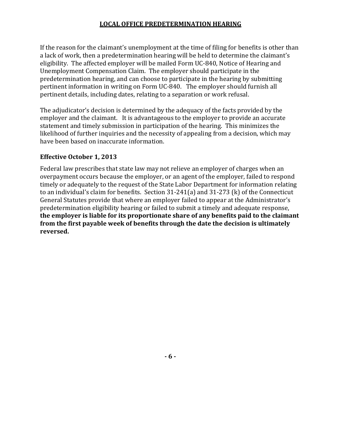#### **LOCAL OFFICE PREDETERMINATION HEARING**

If the reason for the claimant's unemployment at the time of filing for benefits is other than a lack of work, then a predetermination hearing will be held to determine the claimant's eligibility. The affected employer will be mailed Form UC-840, Notice of Hearing and Unemployment Compensation Claim. The employer should participate in the predetermination hearing, and can choose to participate in the hearing by submitting pertinent information in writing on Form UC-840. The employer should furnish all pertinent details, including dates, relating to a separation or work refusal.

The adjudicator's decision is determined by the adequacy of the facts provided by the employer and the claimant. It is advantageous to the employer to provide an accurate statement and timely submission in participation of the hearing. This minimizes the likelihood of further inquiries and the necessity of appealing from a decision, which may have been based on inaccurate information.

#### **Effective October 1, 2013**

Federal law prescribes that state law may not relieve an employer of charges when an overpayment occurs because the employer, or an agent of the employer, failed to respond timely or adequately to the request of the State Labor Department for information relating to an individual's claim for benefits. Section 31-241(a) and 31-273 (k) of the Connecticut General Statutes provide that where an employer failed to appear at the Administrator's predetermination eligibility hearing or failed to submit a timely and adequate response, **the employer is liable for its proportionate share of any benefits paid to the claimant from the first payable week of benefits through the date the decision is ultimately reversed.**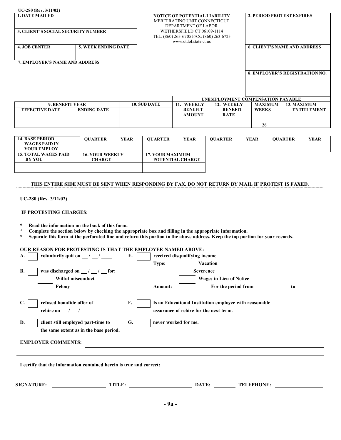| <b>1. DATE MAILED</b>                                                |                                                                                                                                                                                                                                                                                            |             | <b>NOTICE OF POTENTIAL LIABILITY</b><br>MERIT RATING UNIT CONNECTICUT<br>DEPARTMENT OF LABOR<br>WETHERSFIELD CT 06109-1114<br>TEL. (860) 263-6705 FAX: (860) 263-6723<br>www.ctdol.state.ct.us |                                               |                                             |                                | <b>2. PERIOD PROTEST EXPIRES</b> |                                       |  |  |
|----------------------------------------------------------------------|--------------------------------------------------------------------------------------------------------------------------------------------------------------------------------------------------------------------------------------------------------------------------------------------|-------------|------------------------------------------------------------------------------------------------------------------------------------------------------------------------------------------------|-----------------------------------------------|---------------------------------------------|--------------------------------|----------------------------------|---------------------------------------|--|--|
| <b>3. CLIENT'S SOCIAL SECURITY NUMBER</b>                            |                                                                                                                                                                                                                                                                                            |             |                                                                                                                                                                                                |                                               |                                             |                                |                                  |                                       |  |  |
| <b>4. JOB CENTER</b>                                                 | 5. WEEK ENDING DATE                                                                                                                                                                                                                                                                        |             |                                                                                                                                                                                                |                                               |                                             |                                |                                  | <b>6. CLIENT'S NAME AND ADDRESS</b>   |  |  |
| 7. EMPLOYER'S NAME AND ADDRESS                                       |                                                                                                                                                                                                                                                                                            |             |                                                                                                                                                                                                |                                               |                                             |                                |                                  |                                       |  |  |
|                                                                      |                                                                                                                                                                                                                                                                                            |             |                                                                                                                                                                                                |                                               |                                             |                                |                                  | <b>8. EMPLOYER'S REGISTRATION NO.</b> |  |  |
|                                                                      |                                                                                                                                                                                                                                                                                            |             |                                                                                                                                                                                                |                                               | UNEMPLOYMENT COMPENSATION PAYABLE           |                                |                                  |                                       |  |  |
| <b>EFFECTIVE DATE</b>                                                | 9. BENEFIT YEAR<br><b>ENDING DATE</b>                                                                                                                                                                                                                                                      |             | <b>10. SUB DATE</b>                                                                                                                                                                            | 11. WEEKLY<br><b>BENEFIT</b><br><b>AMOUNT</b> | 12. WEEKLY<br><b>BENEFIT</b><br><b>RATE</b> | <b>MAXIMUM</b><br><b>WEEKS</b> |                                  | 13. MAXIMUM<br><b>ENTITLEMENT</b>     |  |  |
|                                                                      |                                                                                                                                                                                                                                                                                            |             |                                                                                                                                                                                                |                                               |                                             | 26                             |                                  |                                       |  |  |
| <b>14. BASE PERIOD</b><br><b>WAGES PAID IN</b><br><b>YOUR EMPLOY</b> | <b>OUARTER</b>                                                                                                                                                                                                                                                                             | <b>YEAR</b> | <b>OUARTER</b>                                                                                                                                                                                 | <b>YEAR</b>                                   | <b>OUARTER</b>                              | <b>YEAR</b>                    |                                  | <b>OUARTER</b><br><b>YEAR</b>         |  |  |
| <b>15. TOTAL WAGES PAID</b><br><b>BY YOU</b>                         | <b>16. YOUR WEEKLY</b><br><b>CHARGE</b>                                                                                                                                                                                                                                                    |             | <b>17. YOUR MAXIMUM</b>                                                                                                                                                                        | POTENTIAL CHARGE                              |                                             |                                |                                  |                                       |  |  |
| $UC-280$ (Rev. $3/11/02$ )<br>IF PROTESTING CHARGES:                 | THIS ENTIRE SIDE MUST BE SENT WHEN RESPONDING BY FAX. DO NOT RETURN BY MAIL IF PROTEST IS FAXED.                                                                                                                                                                                           |             |                                                                                                                                                                                                |                                               |                                             |                                |                                  |                                       |  |  |
| $\ast$<br>$\star$<br>$\star$                                         | Read the information on the back of this form.<br>Complete the section below by checking the appropriate box and filling in the appropriate information.<br>Separate this form at the perforated line and return this portion to the above address. Keep the top portion for your records. |             |                                                                                                                                                                                                |                                               |                                             |                                |                                  |                                       |  |  |

| voluntarily quit on $\frac{\ }{\ }$ / $\frac{\ }{\ }$<br>A.           | E. |                      | received disqualifying income                          |    |
|-----------------------------------------------------------------------|----|----------------------|--------------------------------------------------------|----|
|                                                                       |    | Type:                | <b>Vacation</b>                                        |    |
| <b>B.</b><br>was discharged on $\frac{\ }{\ }$ / $\frac{\ }{\ }$ for: |    |                      | <b>Severence</b>                                       |    |
| Wilful misconduct                                                     |    |                      | <b>Wages in Lieu of Notice</b>                         |    |
| Felony                                                                |    | Amount:              | For the period from                                    | to |
|                                                                       |    |                      |                                                        |    |
| C.<br>refused bonafide offer of                                       | F. |                      | Is an Educational Institution employee with reasonable |    |
| rehire on $\frac{\ }{\ }$ / $\frac{\ }{\ }$                           |    |                      | assurance of rehire for the next term.                 |    |
| D.<br>client still employed part-time to                              | G. | never worked for me. |                                                        |    |
| the same extent as in the base period.                                |    |                      |                                                        |    |
| <b>EMPLOYER COMMENTS:</b>                                             |    |                      |                                                        |    |
|                                                                       |    |                      |                                                        |    |
|                                                                       |    |                      |                                                        |    |
|                                                                       |    |                      |                                                        |    |

**I certify that the information contained herein is true and correct:**

| <b>SIGNATURE:</b> | <b>ATTENT</b><br>111LL. | . <del>.</del><br>. н. | <b>EPHONE:</b><br>TEL. |
|-------------------|-------------------------|------------------------|------------------------|
|                   |                         |                        |                        |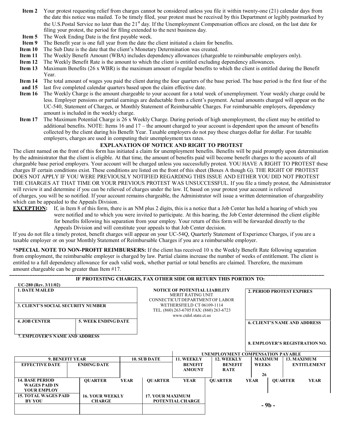- **Item 2** Your protest requesting relief from charges cannot be considered unless you file it within twenty-one (21) calendar days from the date this notice was mailed. To be timely filed, your protest must be received by this Department or legibly postmarked by the U.S.Postal Service no later than the 21<sup>st</sup> day. If the Unemployment Compensation offices are closed, on the last date for filing your protest, the period for filing extended to the next business day.
- **Item 5** The Week Ending Date is the first payable week.
- **Item 9** The Benefit year is one full year from the date the client initiated a claim for benefits.
- **Item 10** The Sub Date is the date that the client's Monetary Determination was created.
- **Item 11** The Weekly Benefit Amount (WBA) includes dependency allowances (chargeable to reimbursable employers only).
- **Item 12** The Weekly Benefit Rate is the amount to which the client is entitled excluding dependency allowances.
- **Item 13** Maximum Benefits (26 x WBR) is the maximum amount of regular benefits to which the client is entitled during the Benefit Year.
- **Item 14** The total amount of wages you paid the client during the four quarters of the base period. The base period is the first four of the
- **and 15** last five completed calendar quarters based upon the claim effective date.
- **Item 16** The Weekly Charge is the amount chargeable to your account for a total week of unemployment. Your weekly charge could be less. Employer pensions or partial earnings are deductable from a client's payment. Actual amounts charged will appear on the UC-540, Statement of Charges, or Monthly Statement of Reimbursable Charges. For reimbursable employers, dependency amount is included in the weekly charge.
- **Item 17** The Maximum Potential Charge is 26 x Weekly Charge. During periods of high unemployment, the client may be entitled to additional benefits. NOTE: Items 16 and 17 – the amount charged to your account is dependent upon the amount of benefits collected by the client during his Benefit Year. Taxable employers do not pay these charges dollar for dollar. For taxable employers, charges are used in computing their unemployment tax rates.

#### **EXPLANATION OF NOTICE AND RIGHT TO PROTEST**

The client named on the front of this form has initiated a claim for unemployment benefits. Benefits will be paid promptly upon determination by the administrator that the client is eligible. At that time, the amount of benefits paid will become benefit charges to the accounts of all chargeable base period employers. Your account will be charged unless you successfully protest. YOU HAVE A RIGHT TO PROTEST these charges IF certain conditions exist. These conditions are listed on the front of this sheet (Boxes A though G). THE RIGHT OF PROTEST DOES NOT APPLY IF YOU WERE PREVIOUSLY NOTIFIED REGARDING THIS ISSUE AND EITHER YOU DID NOT PROTEST THE CHARGES AT THAT TIME OR YOUR PREVIOUS PROTEST WAS UNSUCCESSFUL. If you file a timely protest, the Administrator will review it and determine if you can be relieved of charges under the law. If, based on your protest your account is relieved of charges, you will be so notified. If your account remains chargeable, the Administrator will issue a written determination of chargeability which can be appealed to the Appeals Division.

**EXCEPTION:** If, in Item 8 of this form, there is an NM plus 2 digits, this is a notice that a Job Center has held a hearing of which you were notified and to which you were invited to participate. At this hearing, the Job Center determined the client eligible for benefits following his separation from your employ. Your return of this form will be forwarded directly to the Appeals Division and will constitute your appeals to that Job Center decision.

If you do not file a timely protest, benefit charges will appear on your UC-54Q, Quarterly Statement of Experience Charges, if you are a taxable employer or on your Monthly Statement of Reimbursable Charges if you are a reimbursable employer.

**\*SPECIAL NOTE TO NON-PROFIT REIMBURSERS:** If the client has received 10 x the Weekly Benefit Rate following separation from employment, the reimbursable employer is charged by law. Partial claims increase the number of weeks of entitlement. The client is entitled to a full dependency allowance for each valid week, whether partial or total benefits are claimed. Therefore, the maximum amount chargeable can be greater than Item #17.

|                                           | IF PROTESTING CHARGES, FAX OTHER SIDE OR RETURN THIS PORTION TO: |                                      |                            |                                                             |                                   |  |                                     |                |                                       |
|-------------------------------------------|------------------------------------------------------------------|--------------------------------------|----------------------------|-------------------------------------------------------------|-----------------------------------|--|-------------------------------------|----------------|---------------------------------------|
| $UC-280$ (Rev. $3/11/02$ )                |                                                                  |                                      |                            |                                                             |                                   |  |                                     |                |                                       |
| <b>1. DATE MAILED</b>                     |                                                                  | <b>NOTICE OF POTENTIAL LIABILITY</b> |                            | <b>2. PERIOD PROTEST EXPIRES</b>                            |                                   |  |                                     |                |                                       |
|                                           |                                                                  |                                      |                            | <b>MERIT RATING UNIT</b><br>CONNECTICUT DEPARTMENT OF LABOR |                                   |  |                                     |                |                                       |
| <b>3. CLIENT'S SOCIAL SECURITY NUMBER</b> |                                                                  |                                      | WETHERSFIELD CT 06109-1114 |                                                             |                                   |  |                                     |                |                                       |
|                                           |                                                                  |                                      |                            | TEL. (860) 263-6705 FAX: (860) 263-6723                     |                                   |  |                                     |                |                                       |
|                                           |                                                                  |                                      |                            | www.ctdol.state.ct.us                                       |                                   |  |                                     |                |                                       |
| <b>4. JOB CENTER</b>                      | <b>5. WEEK ENDING DATE</b>                                       |                                      |                            |                                                             |                                   |  | <b>6. CLIENT'S NAME AND ADDRESS</b> |                |                                       |
|                                           |                                                                  |                                      |                            |                                                             |                                   |  |                                     |                |                                       |
| <b>7. EMPLOYER'S NAME AND ADDRESS</b>     |                                                                  |                                      |                            |                                                             |                                   |  |                                     |                |                                       |
|                                           |                                                                  |                                      |                            |                                                             |                                   |  |                                     |                | <b>8. EMPLOYER'S REGISTRATION NO.</b> |
|                                           |                                                                  |                                      |                            |                                                             |                                   |  |                                     |                |                                       |
|                                           |                                                                  |                                      |                            |                                                             | UNEMPLOYMENT COMPENSATION PAYABLE |  |                                     |                |                                       |
| <b>9. BENEFIT YEAR</b>                    |                                                                  |                                      | <b>10. SUB DATE</b>        | 11. WEEKLY                                                  | 12. WEEKLY                        |  | <b>MAXIMUM</b>                      |                | 13. MAXIMUM                           |
| <b>EFFECTIVE DATE</b>                     | <b>ENDING DATE</b>                                               |                                      |                            | <b>BENEFIT</b>                                              | <b>BENEFIT</b>                    |  | <b>WEEKS</b>                        |                | <b>ENTITLEMENT</b>                    |
|                                           |                                                                  |                                      |                            | <b>AMOUNT</b>                                               | <b>RATE</b>                       |  | 26                                  |                |                                       |
| <b>14. BASE PERIOD</b>                    | <b>OUARTER</b>                                                   | <b>YEAR</b>                          | <b>OUARTER</b>             | <b>YEAR</b>                                                 | <b>OUARTER</b>                    |  | <b>YEAR</b>                         | <b>OUARTER</b> | <b>YEAR</b>                           |
| <b>WAGES PAID IN</b>                      |                                                                  |                                      |                            |                                                             |                                   |  |                                     |                |                                       |
| <b>YOUR EMPLOY</b>                        |                                                                  |                                      |                            |                                                             |                                   |  |                                     |                |                                       |
| <b>BY YOU</b>                             | <b>15. TOTAL WAGES PAID</b><br><b>16. YOUR WEEKLY</b>            |                                      |                            | <b>17. YOUR MAXIMUM</b>                                     |                                   |  |                                     |                |                                       |
|                                           | <b>CHARGE</b>                                                    |                                      |                            | POTENTIAL CHARGE                                            |                                   |  | - 9b -                              |                |                                       |
|                                           |                                                                  |                                      |                            |                                                             |                                   |  |                                     |                |                                       |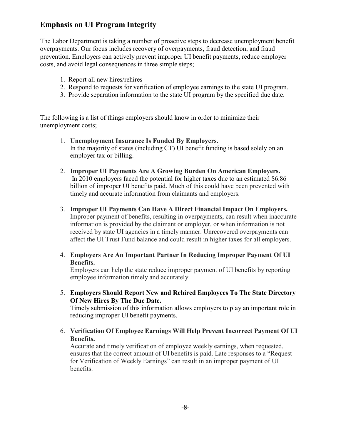# **Emphasis on UI Program Integrity**

The Labor Department is taking a number of proactive steps to decrease unemployment benefit overpayments. Our focus includes recovery of overpayments, fraud detection, and fraud prevention. Employers can actively prevent improper UI benefit payments, reduce employer costs, and avoid legal consequences in three simple steps;

- 1. Report all new hires/rehires
- 2. Respond to requests for verification of employee earnings to the state UI program.
- 3. Provide separation information to the state UI program by the specified due date.

The following is a list of things employers should know in order to minimize their unemployment costs;

- 1. **Unemployment Insurance Is Funded By Employers.** In the majority of states (including CT) UI benefit funding is based solely on an employer tax or billing.
- 2. **Improper UI Payments Are A Growing Burden On American Employers.** In 2010 employers faced the potential for higher taxes due to an estimated \$6.86 billion of improper UI benefits paid. Much of this could have been prevented with timely and accurate information from claimants and employers.
- 3. **Improper UI Payments Can Have A Direct Financial Impact On Employers.** Improper payment of benefits, resulting in overpayments, can result when inaccurate information is provided by the claimant or employer, or when information is not received by state UI agencies in a timely manner. Unrecovered overpayments can affect the UI Trust Fund balance and could result in higher taxes for all employers.
- 4. **Employers Are An Important Partner In Reducing Improper Payment Of UI Benefits.**

Employers can help the state reduce improper payment of UI benefits by reporting employee information timely and accurately.

5. **Employers Should Report New and Rehired Employees To The State Directory Of New Hires By The Due Date.**

Timely submission of this information allows employers to play an important role in reducing improper UI benefit payments.

6. **Verification Of Employee Earnings Will Help Prevent Incorrect Payment Of UI Benefits.**

Accurate and timely verification of employee weekly earnings, when requested, ensures that the correct amount of UI benefits is paid. Late responses to a "Request for Verification of Weekly Earnings" can result in an improper payment of UI benefits.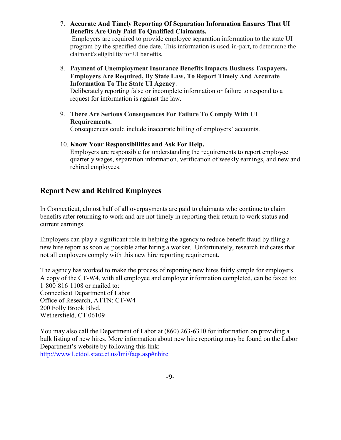7. **Accurate And Timely Reporting Of Separation Information Ensures That UI Benefits Are Only Paid To Qualified Claimants.**

Employers are required to provide employee separation information to the state UI program by the specified due date. This information is used, in-part, to determine the claimant's eligibility for UI benefits.

8. **Payment of Unemployment Insurance Benefits Impacts Business Taxpayers. Employers Are Required, By State Law, To Report Timely And Accurate Information To The State UI Agency**. Deliberately reporting false or incomplete information or failure to respond to a

request for information is against the law.

9. **There Are Serious Consequences For Failure To Comply With UI Requirements.**

Consequences could include inaccurate billing of employers' accounts.

# 10. **Know Your Responsibilities and Ask For Help.**

Employers are responsible for understanding the requirements to report employee quarterly wages, separation information, verification of weekly earnings, and new and rehired employees.

# **Report New and Rehired Employees**

In Connecticut, almost half of all overpayments are paid to claimants who continue to claim benefits after returning to work and are not timely in reporting their return to work status and current earnings.

Employers can play a significant role in helping the agency to reduce benefit fraud by filing a new hire report as soon as possible after hiring a worker. Unfortunately, research indicates that not all employers comply with this new hire reporting requirement.

The agency has worked to make the process of reporting new hires fairly simple for employers. A copy of the CT-W4, with all employee and employer information completed, can be faxed to: 1-800-816-1108 or mailed to: Connecticut Department of Labor Office of Research, ATTN: CT-W4 200 Folly Brook Blvd. Wethersfield, CT 06109

You may also call the Department of Labor at (860) 263-6310 for information on providing a bulk listing of new hires. More information about new hire reporting may be found on the Labor Department's website by following this link: [http://www1.ctdol.state.ct.us/lmi/faqs.asp#nhire](http://www1.ctdol.state.ct.us/lmi/faqs.asp%23nhire)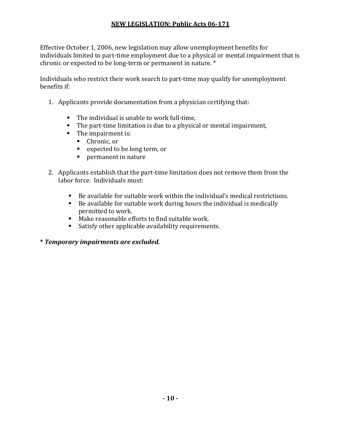# **NEW LEGISLATION: Public Acts 06-171**

Effective October 1, 2006, new legislation may allow unemployment benefits for individuals limited to part-time employment due to a physical or mental impairment that is chronic or expected to be long-term or permanent in nature. \*

Individuals who restrict their work search to part-time may qualify for unemployment benefits if:

- 1. Applicants provide documentation from a physician certifying that:
	- The individual is unable to work full-time,
	- The part-time limitation is due to a physical or mental impairment,
	- The impairment is:
		- Chronic, or
		- expected to be long term, or
		- **Permanent in nature**
- 2. Applicants establish that the part-time limitation does not remove them from the labor force. Individuals must:
	- Be available for suitable work within the individual's medical restrictions.
	- $\blacksquare$  Be available for suitable work during hours the individual is medically permitted to work.
	- Make reasonable efforts to find suitable work.
	- Satisfy other applicable availability requirements.

# **\*** *Temporary impairments are excluded.*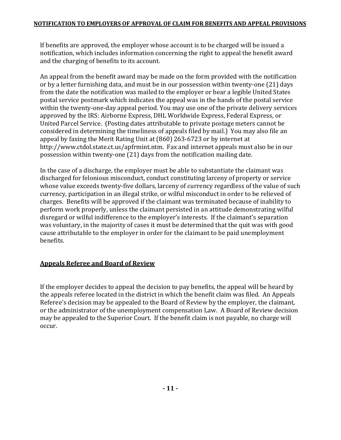If benefits are approved, the employer whose account is to be charged will be issued a notification, which includes information concerning the right to appeal the benefit award and the charging of benefits to its account.

An appeal from the benefit award may be made on the form provided with the notification or by a letter furnishing data, and must be in our possession within twenty-one (21) days from the date the notification was mailed to the employer or bear a legible United States postal service postmark which indicates the appeal was in the hands of the postal service within the twenty-one-day appeal period. You may use one of the private delivery services approved by the IRS: Airborne Express, DHL Worldwide Express, Federal Express, or United Parcel Service. (Posting dates attributable to private postage meters cannot be considered in determining the timeliness of appeals filed by mail.) You may also file an appeal by faxing the Merit Rating Unit at (860) 263-6723 or by internet a[t](http://www.ctdol.state.ct.us/apfrmint.ntm) <http://www.ctdol.state.ct.us/apfrmint.ntm>. Fax and internet appeals must also be in our possession within twenty-one (21) days from the notification mailing date.

In the case of a discharge, the employer must be able to substantiate the claimant was discharged for felonious misconduct, conduct constituting larceny of property or service whose value exceeds twenty-five dollars, larceny of currency regardless of the value of such currency, participation in an illegal strike, or wilful misconduct in order to be relieved of charges. Benefits will be approved if the claimant was terminated because of inability to perform work properly, unless the claimant persisted in an attitude demonstrating wilful disregard or wilful indifference to the employer's interests. If the claimant's separation was voluntary, in the majority of cases it must be determined that the quit was with good cause attributable to the employer in order for the claimant to be paid unemployment benefits.

# **Appeals Referee and Board of Review**

If the employer decides to appeal the decision to pay benefits, the appeal will be heard by the appeals referee located in the district in which the benefit claim was filed. An Appeals Referee's decision may be appealed to the Board of Review by the employer, the claimant, or the administrator of the unemployment compensation Law. A Board of Review decision may be appealed to the Superior Court. If the benefit claim is not payable, no charge will occur.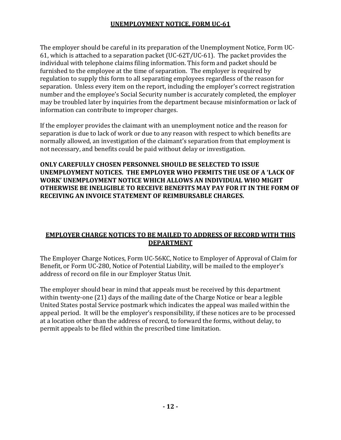# **UNEMPLOYMENT NOTICE, FORM UC-61**

The employer should be careful in its preparation of the Unemployment Notice, Form UC-61, which is attached to a separation packet (UC-62T/UC-61). The packet provides the individual with telephone claims filing information. This form and packet should be furnished to the employee at the time of separation. The employer is required by regulation to supply this form to all separating employees regardless of the reason for separation. Unless every item on the report, including the employer's correct registration number and the employee's Social Security number is accurately completed, the employer may be troubled later by inquiries from the department because misinformation or lack of information can contribute to improper charges.

If the employer provides the claimant with an unemployment notice and the reason for separation is due to lack of work or due to any reason with respect to which benefits are normally allowed, an investigation of the claimant's separation from that employment is not necessary, and benefits could be paid without delay or investigation.

**ONLY CAREFULLY CHOSEN PERSONNEL SHOULD BE SELECTED TO ISSUE UNEMPLOYMENT NOTICES. THE EMPLOYER WHO PERMITS THE USE OF A 'LACK OF WORK' UNEMPLOYMENT NOTICE WHICH ALLOWS AN INDIVIDUAL WHO MIGHT OTHERWISE BE INELIGIBLE TO RECEIVE BENEFITS MAY PAY FOR IT IN THE FORM OF RECEIVING AN INVOICE STATEMENT OF REIMBURSABLE CHARGES.**

# **EMPLOYER CHARGE NOTICES TO BE MAILED TO ADDRESS OF RECORD WITH THIS DEPARTMENT**

The Employer Charge Notices, Form UC-56KC, Notice to Employer of Approval of Claim for Benefit, or Form UC-280, Notice of Potential Liability, will be mailed to the employer's address of record on file in our Employer Status Unit.

The employer should bear in mind that appeals must be received by this department within twenty-one (21) days of the mailing date of the Charge Notice or bear a legible United States postal Service postmark which indicates the appeal was mailed within the appeal period. It will be the employer's responsibility, if these notices are to be processed at a location other than the address of record, to forward the forms, without delay, to permit appeals to be filed within the prescribed time limitation.